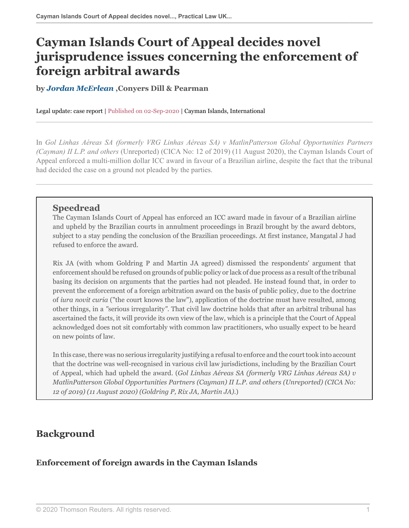# **Cayman Islands Court of Appeal decides novel jurisprudence issues concerning the enforcement of foreign arbitral awards**

**by** *[Jordan McErlean](https://www.conyers.com/people/view/jordan-mcerlean/ )* **,Conyers Dill & Pearman**

Legal update: case report | Published on 02-Sep-2020 | Cayman Islands, International

In *Gol Linhas Aéreas SA (formerly VRG Linhas Aéreas SA) v MatlinPatterson Global Opportunities Partners (Cayman) II L.P. and others* (Unreported) (CICA No: 12 of 2019) (11 August 2020), the Cayman Islands Court of Appeal enforced a multi-million dollar ICC award in favour of a Brazilian airline, despite the fact that the tribunal had decided the case on a ground not pleaded by the parties.

### **Speedread**

The Cayman Islands Court of Appeal has enforced an ICC award made in favour of a Brazilian airline and upheld by the Brazilian courts in annulment proceedings in Brazil brought by the award debtors, subject to a stay pending the conclusion of the Brazilian proceedings. At first instance, Mangatal J had refused to enforce the award.

Rix JA (with whom Goldring P and Martin JA agreed) dismissed the respondents' argument that enforcement should be refused on grounds of public policy or lack of due process as a result of the tribunal basing its decision on arguments that the parties had not pleaded. He instead found that, in order to prevent the enforcement of a foreign arbitration award on the basis of public policy, due to the doctrine of *iura novit curia* ("the court knows the law"), application of the doctrine must have resulted, among other things, in a *"*serious irregularity*"*. That civil law doctrine holds that after an arbitral tribunal has ascertained the facts, it will provide its own view of the law, which is a principle that the Court of Appeal acknowledged does not sit comfortably with common law practitioners, who usually expect to be heard on new points of law.

In this case, there was no serious irregularity justifying a refusal to enforce and the court took into account that the doctrine was well-recognised in various civil law jurisdictions, including by the Brazilian Court of Appeal, which had upheld the award. (*Gol Linhas Aéreas SA (formerly VRG Linhas Aéreas SA) v MatlinPatterson Global Opportunities Partners (Cayman) II L.P. and others (Unreported) (CICA No: 12 of 2019) (11 August 2020) (Goldring P, Rix JA, Martin JA)*.)

# **Background**

## **Enforcement of foreign awards in the Cayman Islands**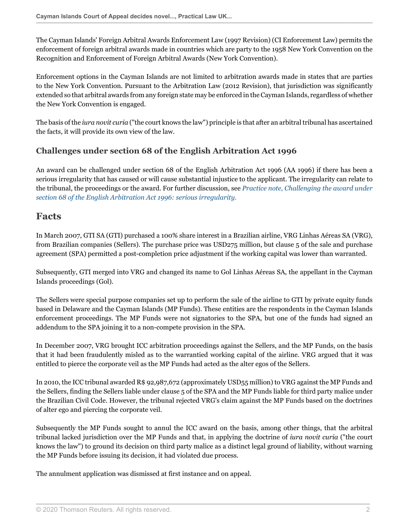The Cayman Islands' Foreign Arbitral Awards Enforcement Law (1997 Revision) (CI Enforcement Law) permits the enforcement of foreign arbitral awards made in countries which are party to the 1958 New York Convention on the Recognition and Enforcement of Foreign Arbitral Awards (New York Convention).

Enforcement options in the Cayman Islands are not limited to arbitration awards made in states that are parties to the New York Convention. Pursuant to the Arbitration Law (2012 Revision), that jurisdiction was significantly extended so that arbitral awards from any foreign state may be enforced in the Cayman Islands, regardless of whether the New York Convention is engaged.

The basis of the *iura novit curia* ("the court knows the law") principle is that after an arbitral tribunal has ascertained the facts, it will provide its own view of the law.

## **Challenges under section 68 of the English Arbitration Act 1996**

An award can be challenged under section 68 of the English Arbitration Act 1996 (AA 1996) if there has been a serious irregularity that has caused or will cause substantial injustice to the applicant. The irregularity can relate to the tribunal, the proceedings or the award. For further discussion, see *[Practice note, Challenging the award under](http://uk.practicallaw.thomsonreuters.com/7-205-3998?originationContext=document&vr=3.0&rs=PLUK1.0&transitionType=DocumentItem&contextData=(sc.Default)) [section 68 of the English Arbitration Act 1996: serious irregularity.](http://uk.practicallaw.thomsonreuters.com/7-205-3998?originationContext=document&vr=3.0&rs=PLUK1.0&transitionType=DocumentItem&contextData=(sc.Default))*

## **Facts**

In March 2007, GTI SA (GTI) purchased a 100% share interest in a Brazilian airline, VRG Linhas Aéreas SA (VRG), from Brazilian companies (Sellers). The purchase price was USD275 million, but clause 5 of the sale and purchase agreement (SPA) permitted a post-completion price adjustment if the working capital was lower than warranted.

Subsequently, GTI merged into VRG and changed its name to Gol Linhas Aéreas SA, the appellant in the Cayman Islands proceedings (Gol).

The Sellers were special purpose companies set up to perform the sale of the airline to GTI by private equity funds based in Delaware and the Cayman Islands (MP Funds). These entities are the respondents in the Cayman Islands enforcement proceedings. The MP Funds were not signatories to the SPA, but one of the funds had signed an addendum to the SPA joining it to a non-compete provision in the SPA.

In December 2007, VRG brought ICC arbitration proceedings against the Sellers, and the MP Funds, on the basis that it had been fraudulently misled as to the warrantied working capital of the airline. VRG argued that it was entitled to pierce the corporate veil as the MP Funds had acted as the alter egos of the Sellers.

In 2010, the ICC tribunal awarded R\$ 92,987,672 (approximately USD55 million) to VRG against the MP Funds and the Sellers, finding the Sellers liable under clause 5 of the SPA and the MP Funds liable for third party malice under the Brazilian Civil Code. However, the tribunal rejected VRG's claim against the MP Funds based on the doctrines of alter ego and piercing the corporate veil.

Subsequently the MP Funds sought to annul the ICC award on the basis, among other things, that the arbitral tribunal lacked jurisdiction over the MP Funds and that, in applying the doctrine of *iura novit curia* ("the court knows the law") to ground its decision on third party malice as a distinct legal ground of liability, without warning the MP Funds before issuing its decision, it had violated due process.

The annulment application was dismissed at first instance and on appeal.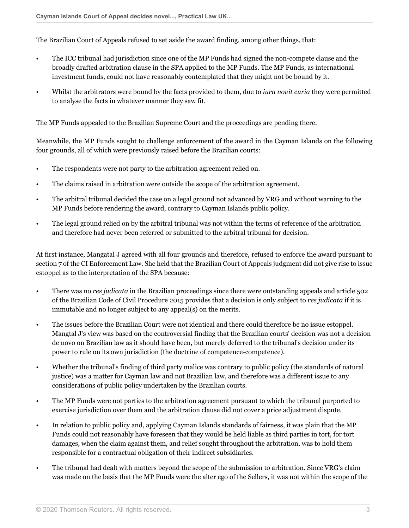The Brazilian Court of Appeals refused to set aside the award finding, among other things, that:

- The ICC tribunal had jurisdiction since one of the MP Funds had signed the non-compete clause and the broadly drafted arbitration clause in the SPA applied to the MP Funds. The MP Funds, as international investment funds, could not have reasonably contemplated that they might not be bound by it.
- Whilst the arbitrators were bound by the facts provided to them, due to *iura novit curia* they were permitted to analyse the facts in whatever manner they saw fit.

The MP Funds appealed to the Brazilian Supreme Court and the proceedings are pending there.

Meanwhile, the MP Funds sought to challenge enforcement of the award in the Cayman Islands on the following four grounds, all of which were previously raised before the Brazilian courts:

- The respondents were not party to the arbitration agreement relied on.
- The claims raised in arbitration were outside the scope of the arbitration agreement.
- The arbitral tribunal decided the case on a legal ground not advanced by VRG and without warning to the MP Funds before rendering the award, contrary to Cayman Islands public policy.
- The legal ground relied on by the arbitral tribunal was not within the terms of reference of the arbitration and therefore had never been referred or submitted to the arbitral tribunal for decision.

At first instance, Mangatal J agreed with all four grounds and therefore, refused to enforce the award pursuant to section 7 of the CI Enforcement Law. She held that the Brazilian Court of Appeals judgment did not give rise to issue estoppel as to the interpretation of the SPA because:

- There was no *res judicata* in the Brazilian proceedings since there were outstanding appeals and article 502 of the Brazilian Code of Civil Procedure 2015 provides that a decision is only subject to *res judicata* if it is immutable and no longer subject to any appeal(s) on the merits.
- The issues before the Brazilian Court were not identical and there could therefore be no issue estoppel. Mangtal J's view was based on the controversial finding that the Brazilian courts' decision was not a decision de novo on Brazilian law as it should have been, but merely deferred to the tribunal's decision under its power to rule on its own jurisdiction (the doctrine of competence-competence).
- Whether the tribunal's finding of third party malice was contrary to public policy (the standards of natural justice) was a matter for Cayman law and not Brazilian law, and therefore was a different issue to any considerations of public policy undertaken by the Brazilian courts.
- The MP Funds were not parties to the arbitration agreement pursuant to which the tribunal purported to exercise jurisdiction over them and the arbitration clause did not cover a price adjustment dispute.
- In relation to public policy and, applying Cayman Islands standards of fairness, it was plain that the MP Funds could not reasonably have foreseen that they would be held liable as third parties in tort, for tort damages, when the claim against them, and relief sought throughout the arbitration, was to hold them responsible for a contractual obligation of their indirect subsidiaries.
- The tribunal had dealt with matters beyond the scope of the submission to arbitration. Since VRG's claim was made on the basis that the MP Funds were the alter ego of the Sellers, it was not within the scope of the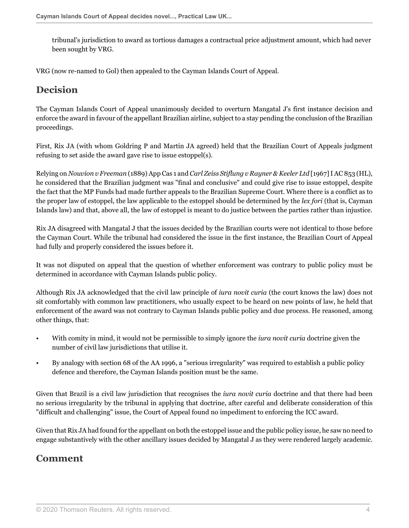tribunal's jurisdiction to award as tortious damages a contractual price adjustment amount, which had never been sought by VRG.

VRG (now re-named to Gol) then appealed to the Cayman Islands Court of Appeal.

## **Decision**

The Cayman Islands Court of Appeal unanimously decided to overturn Mangatal J's first instance decision and enforce the award in favour of the appellant Brazilian airline, subject to a stay pending the conclusion of the Brazilian proceedings.

First, Rix JA (with whom Goldring P and Martin JA agreed) held that the Brazilian Court of Appeals judgment refusing to set aside the award gave rise to issue estoppel(s).

Relying on *Nouvion v Freeman* (1889) App Cas 1 and *Carl Zeiss Stiflung v Rayner & Keeler Ltd* [1967] I AC 853 (HL), he considered that the Brazilian judgment was "final and conclusive" and could give rise to issue estoppel, despite the fact that the MP Funds had made further appeals to the Brazilian Supreme Court. Where there is a conflict as to the proper law of estoppel, the law applicable to the estoppel should be determined by the *lex fori* (that is, Cayman Islands law) and that, above all, the law of estoppel is meant to do justice between the parties rather than injustice.

Rix JA disagreed with Mangatal J that the issues decided by the Brazilian courts were not identical to those before the Cayman Court. While the tribunal had considered the issue in the first instance, the Brazilian Court of Appeal had fully and properly considered the issues before it.

It was not disputed on appeal that the question of whether enforcement was contrary to public policy must be determined in accordance with Cayman Islands public policy.

Although Rix JA acknowledged that the civil law principle of *iura novit curia* (the court knows the law) does not sit comfortably with common law practitioners, who usually expect to be heard on new points of law, he held that enforcement of the award was not contrary to Cayman Islands public policy and due process. He reasoned, among other things, that:

- With comity in mind, it would not be permissible to simply ignore the *iura novit curia* doctrine given the number of civil law jurisdictions that utilise it.
- By analogy with section 68 of the AA 1996, a "serious irregularity" was required to establish a public policy defence and therefore, the Cayman Islands position must be the same.

Given that Brazil is a civil law jurisdiction that recognises the *iura novit curia* doctrine and that there had been no serious irregularity by the tribunal in applying that doctrine, after careful and deliberate consideration of this "difficult and challenging" issue, the Court of Appeal found no impediment to enforcing the ICC award.

Given that Rix JA had found for the appellant on both the estoppel issue and the public policy issue, he saw no need to engage substantively with the other ancillary issues decided by Mangatal J as they were rendered largely academic.

# **Comment**